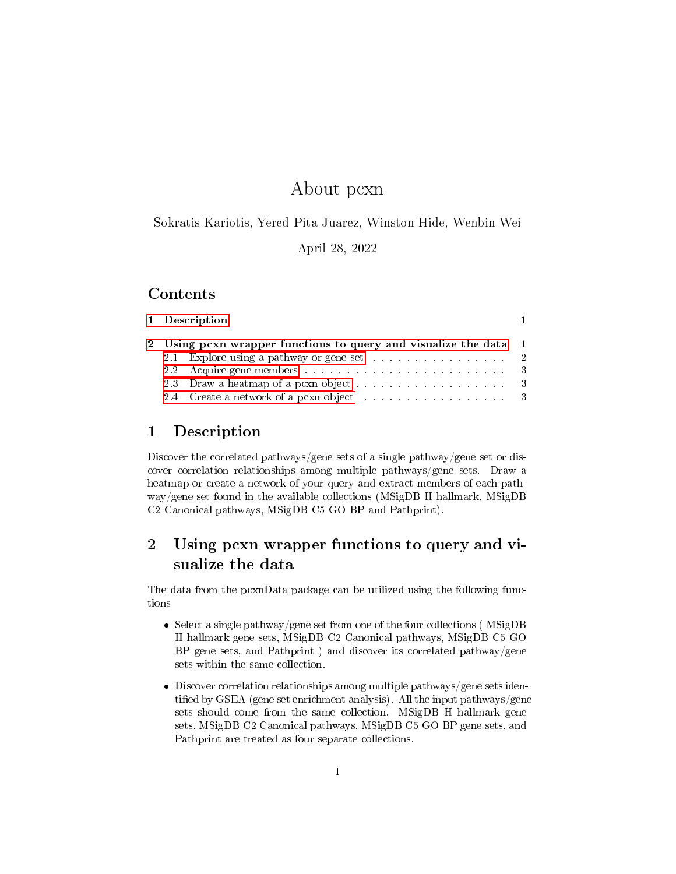# About pcxn

Sokratis Kariotis, Yered Pita-Juarez, Winston Hide, Wenbin Wei

April 28, 2022

## Contents

|  | 1 Description<br>2 Using pcxn wrapper functions to query and visualize the data 1<br>2.1 Explore using a pathway or gene set 2 |
|--|--------------------------------------------------------------------------------------------------------------------------------|

# <span id="page-0-0"></span>1 Description

Discover the correlated pathways/gene sets of a single pathway/gene set or discover correlation relationships among multiple pathways/gene sets. Draw a heatmap or create a network of your query and extract members of each pathway/gene set found in the available collections (MSigDB H hallmark, MSigDB C2 Canonical pathways, MSigDB C5 GO BP and Pathprint).

# <span id="page-0-1"></span>2 Using pcxn wrapper functions to query and visualize the data

The data from the pcxnData package can be utilized using the following functions

- Select a single pathway/gene set from one of the four collections ( MSigDB H hallmark gene sets, MSigDB C2 Canonical pathways, MSigDB C5 GO BP gene sets, and Pathprint ) and discover its correlated pathway/gene sets within the same collection.
- Discover correlation relationships among multiple pathways/gene sets identified by GSEA (gene set enrichment analysis). All the input pathways/gene sets should come from the same collection. MSigDB H hallmark gene sets, MSigDB C2 Canonical pathways, MSigDB C5 GO BP gene sets, and Pathprint are treated as four separate collections.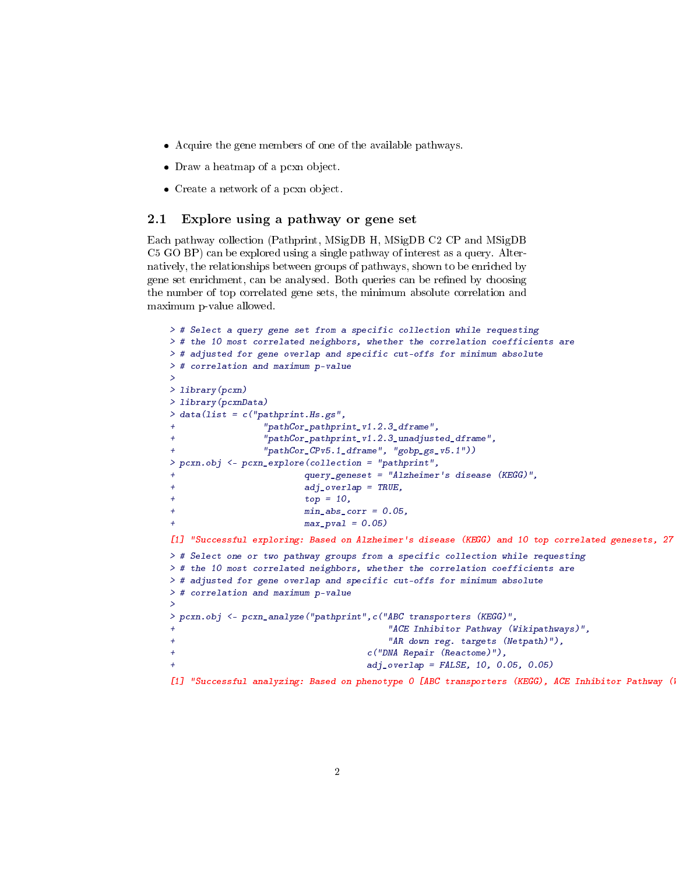- Acquire the gene members of one of the available pathways.
- Draw a heatmap of a pcxn object.
- Create a network of a pcxn object.

#### <span id="page-1-0"></span>2.1 Explore using a pathway or gene set

Each pathway collection (Pathprint, MSigDB H, MSigDB C2 CP and MSigDB C5 GO BP) can be explored using a single pathway of interest as a query. Alternatively, the relationships between groups of pathways, shown to be enriched by gene set enrichment, can be analysed. Both queries can be refined by choosing the number of top correlated gene sets, the minimum absolute correlation and maximum p-value allowed.

```
> # Select a query gene set from a specific collection while requesting
> # the 10 most correlated neighbors, whether the correlation coefficients are
> # adjusted for gene overlap and specific cut-offs for minimum absolute
> # correlation and maximum p-value
>
> library(pcxn)
> library(pcxnData)
> data(list = c("pathprint.Hs.gs","pathCor_pathprint_v1.2.3_dframe",
                "pathCor_pathprint_v1.2.3_unadjusted_dframe",
+ "pathCor_CPv5.1_dframe", "gobp_gs_v5.1"))
> pcxn.obj <- pcxn_explore(collection = "pathprint",
                        + query_geneset = "Alzheimer's disease (KEGG)",
                        adj\_overlap = TRUE,+ top = 10,
+ min\_abs\_corr = 0.05,
                       max\_pval = 0.05)
[1] "Successful exploring: Based on Alzheimer's disease (KEGG) and 10 top correlated genesets, 27
> # Select one or two pathway groups from a specific collection while requesting
> # the 10 most correlated neighbors, whether the correlation coefficients are
> # adjusted for gene overlap and specific cut-offs for minimum absolute
> # correlation and maximum p-value
>
> pcxn.obj <- pcxn_analyze("pathprint",c("ABC transporters (KEGG)",
                                      "ACE Inhibitor Pathway (Wikipathways)",
+ "AR down reg. targets (Netpath)"),
+ c("DNA Repair (Reactome)"),
                                   adj_overlap = FALSE, 10, 0.05, 0.05)[1] "Successful analyzing: Based on phenotype 0 [ABC transporters (KEGG), ACE Inhibitor Pathway (
```